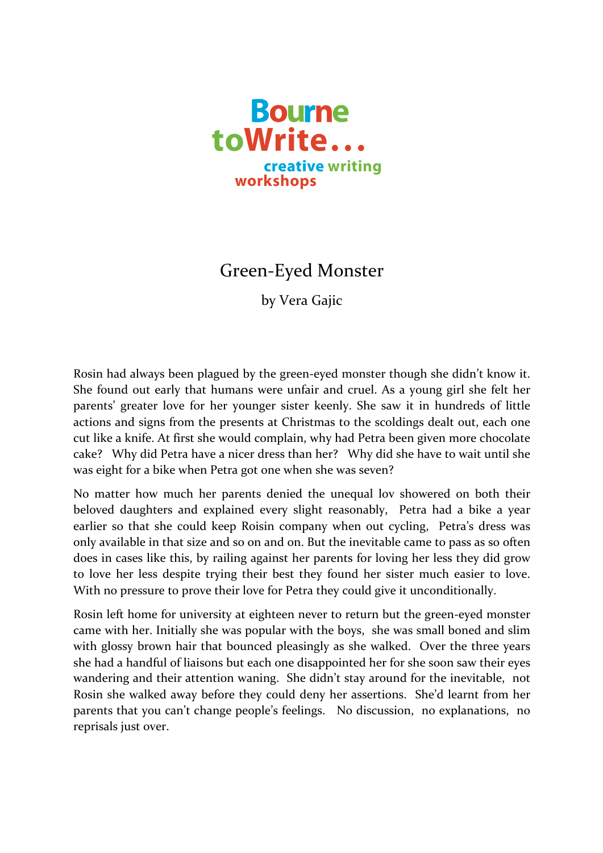

## Green-Eyed Monster

by Vera Gajic

Rosin had always been plagued by the green-eyed monster though she didn't know it. She found out early that humans were unfair and cruel. As a young girl she felt her parents' greater love for her younger sister keenly. She saw it in hundreds of little actions and signs from the presents at Christmas to the scoldings dealt out, each one cut like a knife. At first she would complain, why had Petra been given more chocolate cake? Why did Petra have a nicer dress than her? Why did she have to wait until she was eight for a bike when Petra got one when she was seven?

No matter how much her parents denied the unequal lov showered on both their beloved daughters and explained every slight reasonably, Petra had a bike a year earlier so that she could keep Roisin company when out cycling, Petra's dress was only available in that size and so on and on. But the inevitable came to pass as so often does in cases like this, by railing against her parents for loving her less they did grow to love her less despite trying their best they found her sister much easier to love. With no pressure to prove their love for Petra they could give it unconditionally.

Rosin left home for university at eighteen never to return but the green-eyed monster came with her. Initially she was popular with the boys, she was small boned and slim with glossy brown hair that bounced pleasingly as she walked. Over the three years she had a handful of liaisons but each one disappointed her for she soon saw their eyes wandering and their attention waning. She didn't stay around for the inevitable, not Rosin she walked away before they could deny her assertions. She'd learnt from her parents that you can't change people's feelings. No discussion, no explanations, no reprisals just over.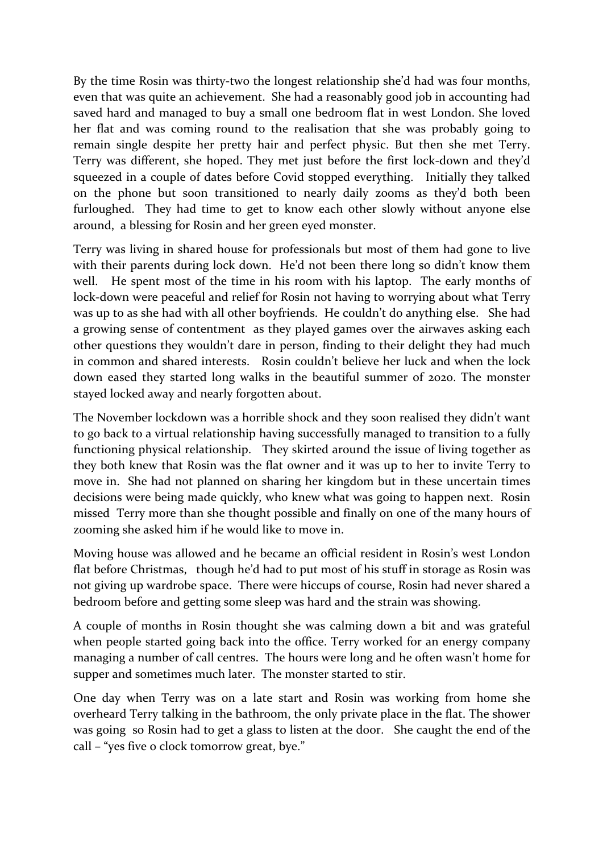By the time Rosin was thirty-two the longest relationship she'd had was four months, even that was quite an achievement. She had a reasonably good job in accounting had saved hard and managed to buy a small one bedroom flat in west London. She loved her flat and was coming round to the realisation that she was probably going to remain single despite her pretty hair and perfect physic. But then she met Terry. Terry was different, she hoped. They met just before the first lock-down and they'd squeezed in a couple of dates before Covid stopped everything. Initially they talked on the phone but soon transitioned to nearly daily zooms as they'd both been furloughed. They had time to get to know each other slowly without anyone else around, a blessing for Rosin and her green eyed monster.

Terry was living in shared house for professionals but most of them had gone to live with their parents during lock down. He'd not been there long so didn't know them well. He spent most of the time in his room with his laptop. The early months of lock-down were peaceful and relief for Rosin not having to worrying about what Terry was up to as she had with all other boyfriends. He couldn't do anything else. She had a growing sense of contentment as they played games over the airwaves asking each other questions they wouldn't dare in person, finding to their delight they had much in common and shared interests. Rosin couldn't believe her luck and when the lock down eased they started long walks in the beautiful summer of 2020. The monster stayed locked away and nearly forgotten about.

The November lockdown was a horrible shock and they soon realised they didn't want to go back to a virtual relationship having successfully managed to transition to a fully functioning physical relationship. They skirted around the issue of living together as they both knew that Rosin was the flat owner and it was up to her to invite Terry to move in. She had not planned on sharing her kingdom but in these uncertain times decisions were being made quickly, who knew what was going to happen next. Rosin missed Terry more than she thought possible and finally on one of the many hours of zooming she asked him if he would like to move in.

Moving house was allowed and he became an official resident in Rosin's west London flat before Christmas, though he'd had to put most of his stuff in storage as Rosin was not giving up wardrobe space. There were hiccups of course, Rosin had never shared a bedroom before and getting some sleep was hard and the strain was showing.

A couple of months in Rosin thought she was calming down a bit and was grateful when people started going back into the office. Terry worked for an energy company managing a number of call centres. The hours were long and he often wasn't home for supper and sometimes much later. The monster started to stir.

One day when Terry was on a late start and Rosin was working from home she overheard Terry talking in the bathroom, the only private place in the flat. The shower was going so Rosin had to get a glass to listen at the door. She caught the end of the call – "yes five o clock tomorrow great, bye."